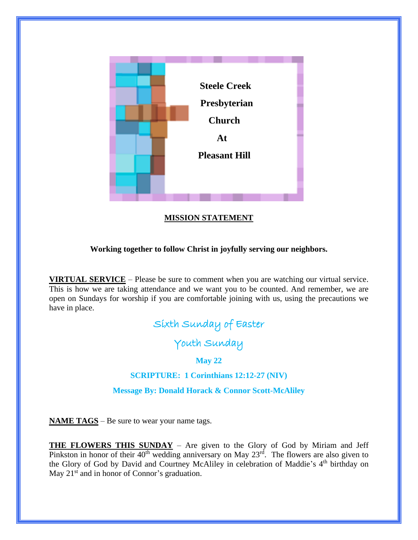

# **MISSION STATEMENT**

## **Working together to follow Christ in joyfully serving our neighbors.**

**VIRTUAL SERVICE** – Please be sure to comment when you are watching our virtual service. This is how we are taking attendance and we want you to be counted. And remember, we are open on Sundays for worship if you are comfortable joining with us, using the precautions we have in place.

# Sixth Sunday of Easter

Youth Sunday

## **May 22**

# **SCRIPTURE: 1 Corinthians 12:12-27 (NIV)**

**Message By: Donald Horack & Connor Scott-McAliley**

**NAME TAGS** – Be sure to wear your name tags.

**THE FLOWERS THIS SUNDAY** – Are given to the Glory of God by Miriam and Jeff Pinkston in honor of their  $40<sup>th</sup>$  wedding anniversary on May  $23<sup>rd</sup>$ . The flowers are also given to the Glory of God by David and Courtney McAliley in celebration of Maddie's 4<sup>th</sup> birthday on May  $21<sup>st</sup>$  and in honor of Connor's graduation.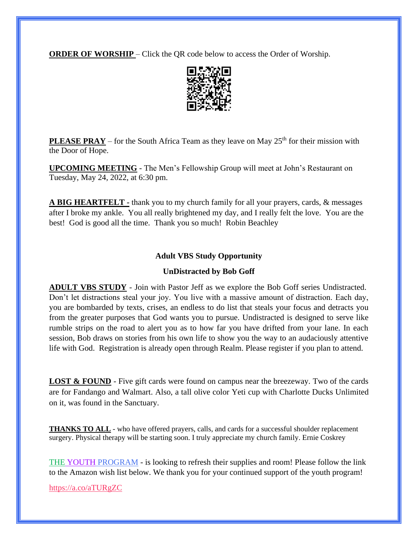**ORDER OF WORSHIP** – Click the QR code below to access the Order of Worship.



**PLEASE PRAY** – for the South Africa Team as they leave on May  $25<sup>th</sup>$  for their mission with the Door of Hope.

**UPCOMING MEETING** - The Men's Fellowship Group will meet at John's Restaurant on Tuesday, May 24, 2022, at 6:30 pm.

**A BIG HEARTFELT -** thank you to my church family for all your prayers, cards, & messages after I broke my ankle. You all really brightened my day, and I really felt the love. You are the best! God is good all the time. Thank you so much! Robin Beachley

#### **Adult VBS Study Opportunity**

#### **UnDistracted by Bob Goff**

**ADULT VBS STUDY** - Join with Pastor Jeff as we explore the Bob Goff series Undistracted. Don't let distractions steal your joy. You live with a massive amount of distraction. Each day, you are bombarded by texts, crises, an endless to do list that steals your focus and detracts you from the greater purposes that God wants you to pursue. Undistracted is designed to serve like rumble strips on the road to alert you as to how far you have drifted from your lane. In each session, Bob draws on stories from his own life to show you the way to an audaciously attentive life with God. Registration is already open through Realm. Please register if you plan to attend.

**LOST & FOUND** - Five gift cards were found on campus near the breezeway. Two of the cards are for Fandango and Walmart. Also, a tall olive color Yeti cup with Charlotte Ducks Unlimited on it, was found in the Sanctuary.

**THANKS TO ALL** - who have offered prayers, calls, and cards for a successful shoulder replacement surgery. Physical therapy will be starting soon. I truly appreciate my church family. Ernie Coskrey

THE YOUTH PROGRAM - is looking to refresh their supplies and room! Please follow the link to the Amazon wish list below. We thank you for your continued support of the youth program!

<https://a.co/aTURgZC>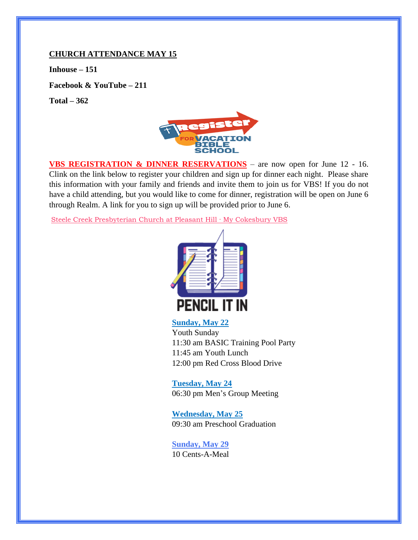#### **CHURCH ATTENDANCE MAY 15**

**Inhouse – 151**

**Facebook & YouTube – 211**

**Total – 362**



**VBS REGISTRATION & DINNER RESERVATIONS** – are now open for June 12 - 16. Clink on the link below to register your children and sign up for dinner each night. Please share this information with your family and friends and invite them to join us for VBS! If you do not have a child attending, but you would like to come for dinner, registration will be open on June 6 through Realm. A link for you to sign up will be provided prior to June 6.

[Steele Creek Presbyterian Church at Pleasant Hill · My Cokesbury VBS](https://scpcph.mycokesburyvbs.com/)



## **Sunday, May 22**

Youth Sunday 11:30 am BASIC Training Pool Party 11:45 am Youth Lunch 12:00 pm Red Cross Blood Drive

**Tuesday, May 24** 06:30 pm Men's Group Meeting

**Wednesday, May 25** 09:30 am Preschool Graduation

**Sunday, May 29** 10 Cents-A-Meal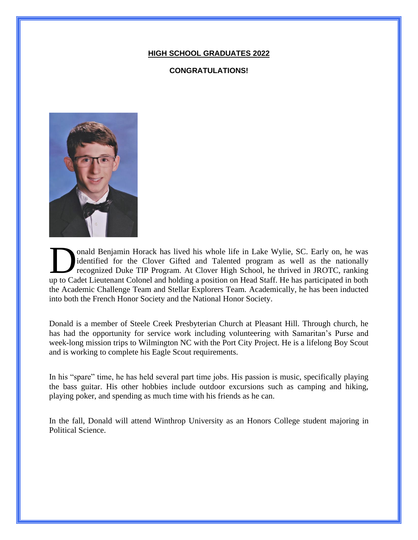#### **HIGH SCHOOL GRADUATES 2022**

#### **CONGRATULATIONS!**



onald Benjamin Horack has lived his whole life in Lake Wylie, SC. Early on, he was identified for the Clover Gifted and Talented program as well as the nationally recognized Duke TIP Program. At Clover High School, he thrived in JROTC, ranking onald Benjamin Horack has lived his whole life in Lake Wylie, SC. Early on, he was identified for the Clover Gifted and Talented program as well as the nationally recognized Duke TIP Program. At Clover High School, he thri the Academic Challenge Team and Stellar Explorers Team. Academically, he has been inducted into both the French Honor Society and the National Honor Society.

Donald is a member of Steele Creek Presbyterian Church at Pleasant Hill. Through church, he has had the opportunity for service work including volunteering with Samaritan's Purse and week-long mission trips to Wilmington NC with the Port City Project. He is a lifelong Boy Scout and is working to complete his Eagle Scout requirements.

In his "spare" time, he has held several part time jobs. His passion is music, specifically playing the bass guitar. His other hobbies include outdoor excursions such as camping and hiking, playing poker, and spending as much time with his friends as he can.

In the fall, Donald will attend Winthrop University as an Honors College student majoring in Political Science.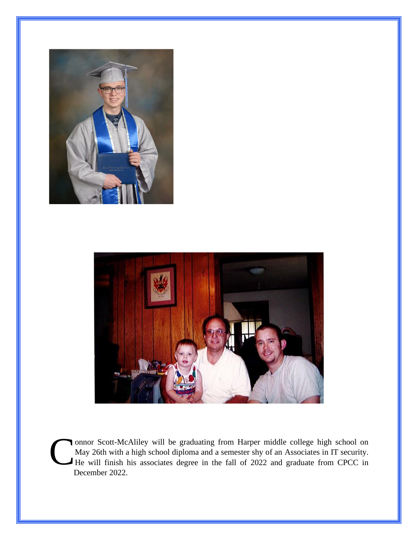



onnor Scott-McAliley will be graduating from Harper middle college high school on May 26th with a high school diploma and a semester shy of an Associates in IT security. onnor Scott-McAliley will be graduating from Harper middle college high school on May 26th with a high school diploma and a semester shy of an Associates in IT security.<br>He will finish his associates degree in the fall of December 2022.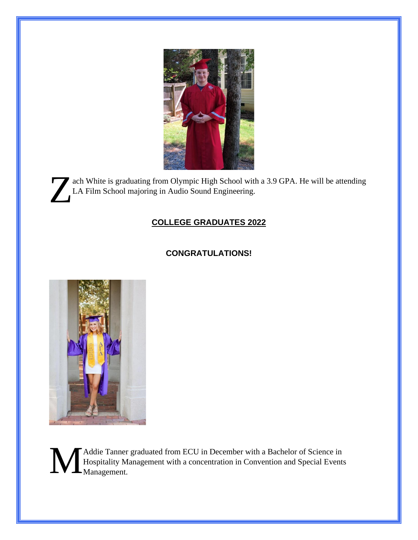

ach White is graduating from Olympic High School with a 3.9 GPA. He will be attending LA Film School majoring in Audio Sound Engineering. Z

# **COLLEGE GRADUATES 2022**

# **CONGRATULATIONS!**



Addie Tanner graduated from ECU in December with a Bachelor of Science in Hospitality Management with a concentration in Convention and Special Events Management.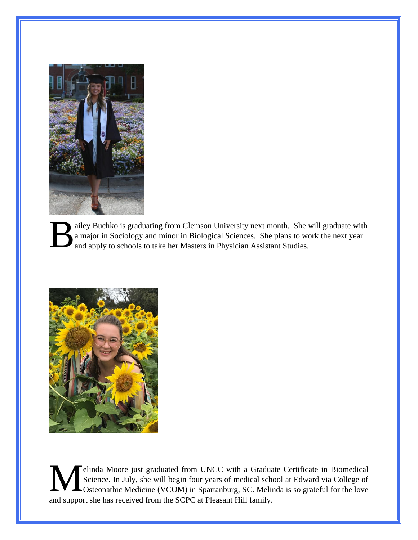

ailey Buchko is graduating from Clemson University next month. She will graduate with a major in Sociology and minor in Biological Sciences. She plans to work the next year and apply to schools to take her Masters in Physician Assistant Studies. B



elinda Moore just graduated from UNCC with a Graduate Certificate in Biomedical Science. In July, she will begin four years of medical school at Edward via College of Osteopathic Medicine (VCOM) in Spartanburg, SC. Melinda is so grateful for the love and support she has received from the SCPC at Pleasant Hill family. M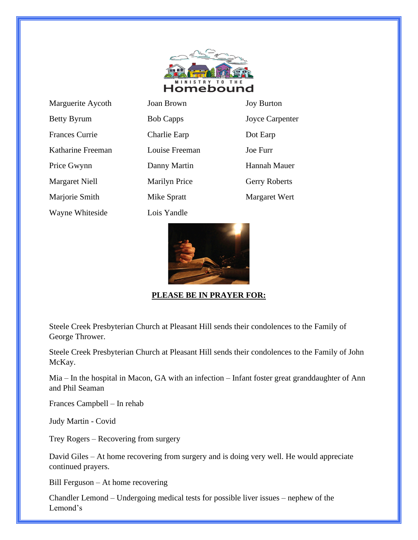

Marguerite Aycoth Joan Betty Byrum Bob Frances Currie Charlie Early Charlie Early Dot Early Dot Early Dot Early Dot Early Dot Early Dot Early Dot Early Dot Early Dot Early Dot Early Dot Early Dot Early Dot Early Dot Early Dot Early Dot Early Dot Early Dot Early Katharine Freeman Loui Price Gwynn Dann Margaret Niell Mari Marjorie Smith Mike Wayne Whiteside Lois Yandle

| ı Brown            | <b>Joy Burton</b>      |
|--------------------|------------------------|
| Capps              | <b>Joyce Carpenter</b> |
| rlie Earp          | Dot Earp               |
| ise Freeman        | Joe Furr               |
| ny Martin          | Hannah Mauer           |
| ilyn Price         | <b>Gerry Roberts</b>   |
| e Spratt           | Margaret Wert          |
| $\mathbf{V}$ andla |                        |



# **PLEASE BE IN PRAYER FOR:**

Steele Creek Presbyterian Church at Pleasant Hill sends their condolences to the Family of George Thrower.

Steele Creek Presbyterian Church at Pleasant Hill sends their condolences to the Family of John McKay.

Mia – In the hospital in Macon, GA with an infection – Infant foster great granddaughter of Ann and Phil Seaman

Frances Campbell – In rehab

Judy Martin - Covid

Trey Rogers – Recovering from surgery

David Giles – At home recovering from surgery and is doing very well. He would appreciate continued prayers.

Bill Ferguson – At home recovering

Chandler Lemond – Undergoing medical tests for possible liver issues – nephew of the Lemond's